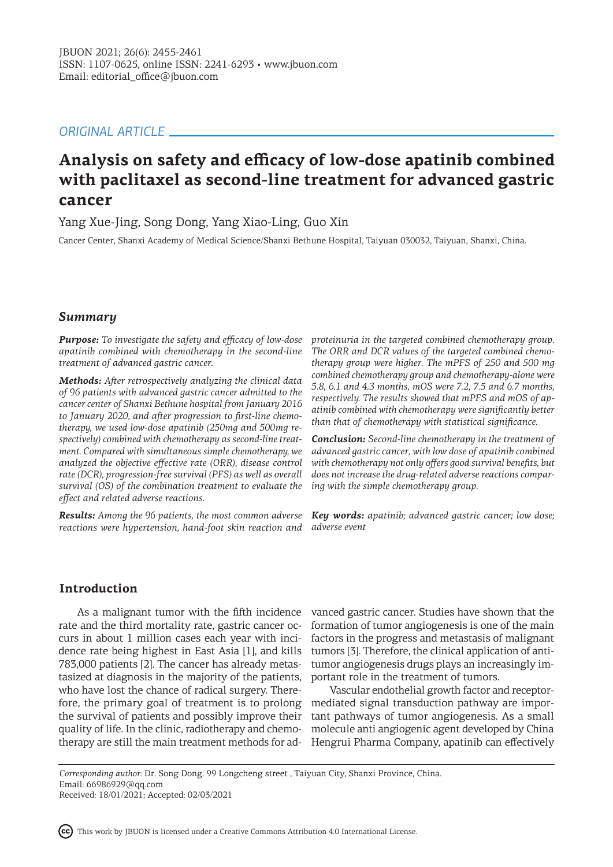# *ORIGINAL ARTICLE*

# **Analysis on safety and efficacy of low-dose apatinib combined with paclitaxel as second-line treatment for advanced gastric cancer**

Yang Xue-Jing, Song Dong, Yang Xiao-Ling, Guo Xin

Cancer Center, Shanxi Academy of Medical Science/Shanxi Bethune Hospital, Taiyuan 030032, Taiyuan, Shanxi, China.

## *Summary*

*Purpose: To investigate the safety and efficacy of low-dose apatinib combined with chemotherapy in the second-line treatment of advanced gastric cancer.* 

*Methods: After retrospectively analyzing the clinical data of 96 patients with advanced gastric cancer admitted to the cancer center of Shanxi Bethune hospital from January 2016 to January 2020, and after progression to first-line chemotherapy, we used low-dose apatinib (250mg and 500mg respectively) combined with chemotherapy as second-line treatment. Compared with simultaneous simple chemotherapy, we analyzed the objective effective rate (ORR), disease control rate (DCR), progression-free survival (PFS) as well as overall survival (OS) of the combination treatment to evaluate the effect and related adverse reactions.*

*Results: Among the 96 patients, the most common adverse reactions were hypertension, hand-foot skin reaction and* 

*proteinuria in the targeted combined chemotherapy group. The ORR and DCR values of the targeted combined chemotherapy group were higher. The mPFS of 250 and 500 mg combined chemotherapy group and chemotherapy-alone were 5.8, 6.1 and 4.3 months, mOS were 7.2, 7.5 and 6.7 months, respectively. The results showed that mPFS and mOS of apatinib combined with chemotherapy were significantly better than that of chemotherapy with statistical significance.*

*Conclusion: Second-line chemotherapy in the treatment of advanced gastric cancer, with low dose of apatinib combined with chemotherapy not only offers good survival benefits, but does not increase the drug-related adverse reactions comparing with the simple chemotherapy group.* 

*Key words: apatinib; advanced gastric cancer; low dose; adverse event*

## **Introduction**

rate and the third mortality rate, gastric cancer occurs in about 1 million cases each year with incidence rate being highest in East Asia [1], and kills 783,000 patients [2]. The cancer has already metastasized at diagnosis in the majority of the patients, who have lost the chance of radical surgery. Therefore, the primary goal of treatment is to prolong the survival of patients and possibly improve their quality of life. In the clinic, radiotherapy and chemotherapy are still the main treatment methods for ad-

As a malignant tumor with the fifth incidence vanced gastric cancer. Studies have shown that the formation of tumor angiogenesis is one of the main factors in the progress and metastasis of malignant tumors [3]. Therefore, the clinical application of antitumor angiogenesis drugs plays an increasingly important role in the treatment of tumors.

> Vascular endothelial growth factor and receptormediated signal transduction pathway are important pathways of tumor angiogenesis. As a small molecule anti angiogenic agent developed by China Hengrui Pharma Company, apatinib can effectively

*Corresponding author:* Dr. Song Dong. 99 Longcheng street , Taiyuan City, Shanxi Province, China. Email: 66986929@qq.com Received: 18/01/2021; Accepted: 02/03/2021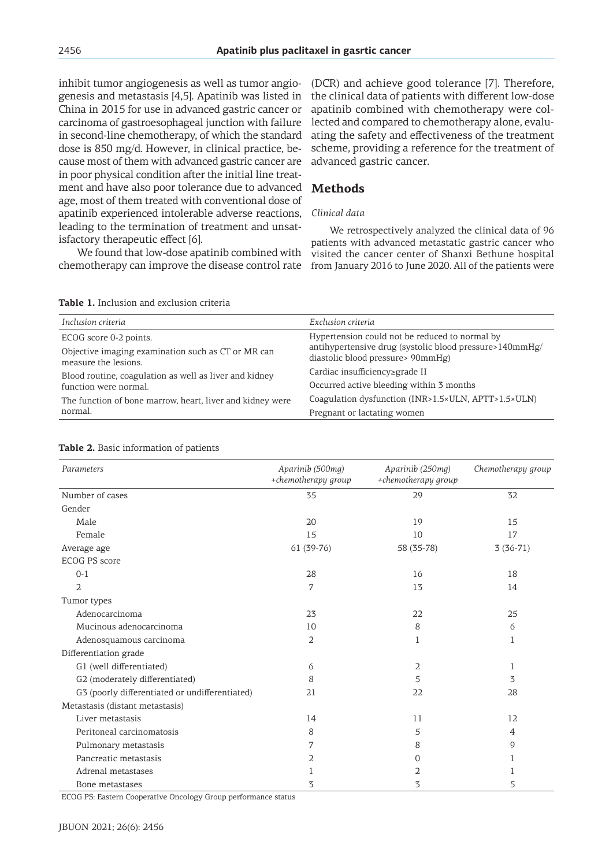inhibit tumor angiogenesis as well as tumor angiogenesis and metastasis [4,5]. Apatinib was listed in China in 2015 for use in advanced gastric cancer or carcinoma of gastroesophageal junction with failure in second-line chemotherapy, of which the standard dose is 850 mg/d. However, in clinical practice, because most of them with advanced gastric cancer are in poor physical condition after the initial line treatment and have also poor tolerance due to advanced age, most of them treated with conventional dose of apatinib experienced intolerable adverse reactions, leading to the termination of treatment and unsatisfactory therapeutic effect [6].

We found that low-dose apatinib combined with

(DCR) and achieve good tolerance [7]. Therefore, the clinical data of patients with different low-dose apatinib combined with chemotherapy were collected and compared to chemotherapy alone, evaluating the safety and effectiveness of the treatment scheme, providing a reference for the treatment of advanced gastric cancer.

# **Methods**

## *Clinical data*

chemotherapy can improve the disease control rate from January 2016 to June 2020. All of the patients were We retrospectively analyzed the clinical data of 96 patients with advanced metastatic gastric cancer who visited the cancer center of Shanxi Bethune hospital

| <b>Table 1.</b> Inclusion and exclusion criteria |
|--------------------------------------------------|
|--------------------------------------------------|

| Inclusion criteria                                                         | Exclusion criteria                                                                                                                             |  |  |
|----------------------------------------------------------------------------|------------------------------------------------------------------------------------------------------------------------------------------------|--|--|
| ECOG score 0-2 points.                                                     | Hypertension could not be reduced to normal by<br>antihypertensive drug (systolic blood pressure>140mmHg/<br>diastolic blood pressure> 90mmHg) |  |  |
| Objective imaging examination such as CT or MR can<br>measure the lesions. |                                                                                                                                                |  |  |
| Blood routine, coagulation as well as liver and kidney                     | Cardiac insufficiency≥grade II                                                                                                                 |  |  |
| function were normal.                                                      | Occurred active bleeding within 3 months                                                                                                       |  |  |
| The function of bone marrow, heart, liver and kidney were                  | Coagulation dysfunction (INR>1.5×ULN, APTT>1.5×ULN)                                                                                            |  |  |
| normal.                                                                    | Pregnant or lactating women                                                                                                                    |  |  |

|  |  | Table 2. Basic information of patients |  |
|--|--|----------------------------------------|--|
|--|--|----------------------------------------|--|

| Parameters                                     | Aparinib (500mg)<br>+chemotherapy group | Aparinib (250mg)<br>+chemotherapy group | Chemotherapy group |
|------------------------------------------------|-----------------------------------------|-----------------------------------------|--------------------|
| Number of cases                                | 35                                      | 29                                      | 32                 |
| Gender                                         |                                         |                                         |                    |
| Male                                           | 20                                      | 19                                      | 15                 |
| Female                                         | 15                                      | 10                                      | 17                 |
| Average age                                    | 61 (39-76)                              | 58 (35-78)                              | $3(36-71)$         |
| ECOG PS score                                  |                                         |                                         |                    |
| $0 - 1$                                        | 28                                      | 16                                      | 18                 |
| 2                                              | 7                                       | 13                                      | 14                 |
| Tumor types                                    |                                         |                                         |                    |
| Adenocarcinoma                                 | 23                                      | 22                                      | 25                 |
| Mucinous adenocarcinoma                        | 10                                      | 8                                       | 6                  |
| Adenosquamous carcinoma                        | 2                                       | 1                                       | 1                  |
| Differentiation grade                          |                                         |                                         |                    |
| G1 (well differentiated)                       | 6                                       | 2                                       | 1                  |
| G2 (moderately differentiated)                 | 8                                       | 5                                       | 3                  |
| G3 (poorly differentiated or undifferentiated) | 21                                      | 22                                      | 28                 |
| Metastasis (distant metastasis)                |                                         |                                         |                    |
| Liver metastasis                               | 14                                      | 11                                      | 12                 |
| Peritoneal carcinomatosis                      | 8                                       | 5                                       | 4                  |
| Pulmonary metastasis                           | 7                                       | 8                                       | 9                  |
| Pancreatic metastasis                          | 2                                       | 0                                       | 1                  |
| Adrenal metastases                             | 1                                       | 2                                       | 1                  |
| Bone metastases                                | 3                                       | 3                                       | 5                  |

ECOG PS: Eastern Cooperative Oncology Group performance status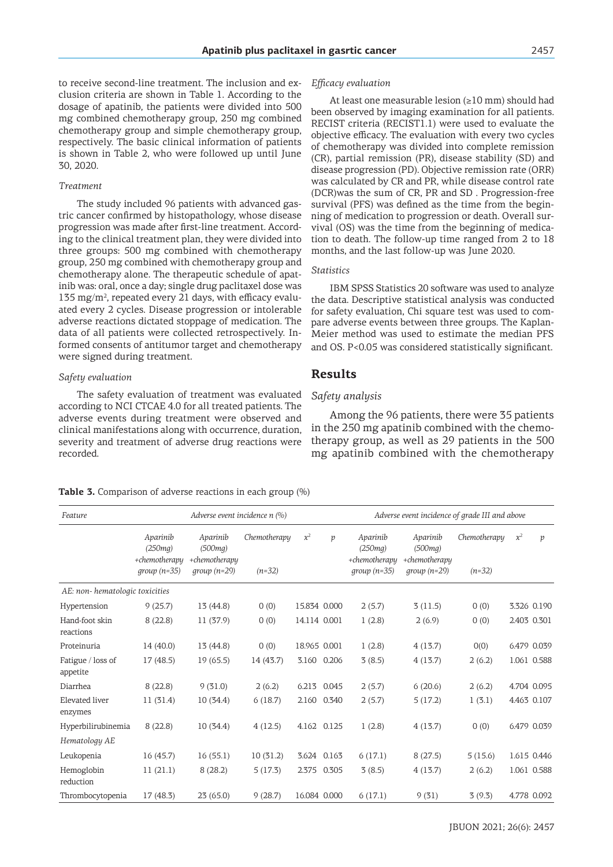to receive second-line treatment. The inclusion and exclusion criteria are shown in Table 1. According to the dosage of apatinib, the patients were divided into 500 mg combined chemotherapy group, 250 mg combined chemotherapy group and simple chemotherapy group, respectively. The basic clinical information of patients is shown in Table 2, who were followed up until June 30, 2020.

#### *Treatment*

The study included 96 patients with advanced gastric cancer confirmed by histopathology, whose disease progression was made after first-line treatment. According to the clinical treatment plan, they were divided into three groups: 500 mg combined with chemotherapy group, 250 mg combined with chemotherapy group and chemotherapy alone. The therapeutic schedule of apatinib was: oral, once a day; single drug paclitaxel dose was 135 mg/m<sup>2</sup>, repeated every 21 days, with efficacy evaluated every 2 cycles. Disease progression or intolerable adverse reactions dictated stoppage of medication. The data of all patients were collected retrospectively. Informed consents of antitumor target and chemotherapy were signed during treatment.

## *Safety evaluation*

The safety evaluation of treatment was evaluated according to NCI CTCAE 4.0 for all treated patients. The adverse events during treatment were observed and clinical manifestations along with occurrence, duration, severity and treatment of adverse drug reactions were recorded.

## *Efficacy evaluation*

At least one measurable lesion (≥10 mm) should had been observed by imaging examination for all patients. RECIST criteria (RECIST1.1) were used to evaluate the objective efficacy. The evaluation with every two cycles of chemotherapy was divided into complete remission (CR), partial remission (PR), disease stability (SD) and disease progression (PD). Objective remission rate (ORR) was calculated by CR and PR, while disease control rate (DCR)was the sum of CR, PR and SD . Progression-free survival (PFS) was defined as the time from the beginning of medication to progression or death. Overall survival (OS) was the time from the beginning of medication to death. The follow-up time ranged from 2 to 18 months, and the last follow-up was June 2020.

#### *Statistics*

IBM SPSS Statistics 20 software was used to analyze the data. Descriptive statistical analysis was conducted for safety evaluation, Chi square test was used to compare adverse events between three groups. The Kaplan-Meier method was used to estimate the median PFS and OS. P<0.05 was considered statistically significant.

## **Results**

### *Safety analysis*

Among the 96 patients, there were 35 patients in the 250 mg apatinib combined with the chemotherapy group, as well as 29 patients in the 500 mg apatinib combined with the chemotherapy

|  |  | <b>Table 3.</b> Comparison of adverse reactions in each group (%) |  |  |  |  |  |  |  |
|--|--|-------------------------------------------------------------------|--|--|--|--|--|--|--|
|--|--|-------------------------------------------------------------------|--|--|--|--|--|--|--|

*Feature Adverse event incidence n (%) Adverse event incidence of grade III and above Aparinib (250mg) +chemotherapy group (n=35) Aparinib (500mg) +chemotherapy group (n=29) Chemotherapy (n=32) x2 p Aparinib (250mg) +chemotherapy group (n=35) Aparinib (500mg) +chemotherapy group (n=29) Chemotherapy (n=32)*  $x^2$  *p AE: non- hematologic toxicities* Hypertension 9 (25.7) 13 (44.8) 0 (0) 15.834 0.000 2 (5.7) 3 (11.5) 0 (0) 3.326 0.190 Hand-foot skin reactions 8 (22.8) 11 (37.9) 0 (0) 14.114 0.001 1 (2.8) 2 (6.9) 0 (0) 2.403 0.301 Proteinuria 14 (40.0) 13 (44.8) 0 (0) 18.965 0.001 1 (2.8) 4 (13.7) 0(0) 6.479 0.039 Fatigue / loss of appetite 17 (48.5) 19 (65.5) 14 (43.7) 3.160 0.206 3 (8.5) 4 (13.7) 2 (6.2) 1.061 0.588 Diarrhea 8 (22.8) 9 (31.0) 2 (6.2) 6.213 0.045 2 (5.7) 6 (20.6) 2 (6.2) 4.704 0.095 Elevated liver enzymes 11 (31.4) 10 (34.4) 6 (18.7) 2.160 0.340 2 (5.7) 5 (17.2) 1 (3.1) 4.463 0.107 Hyperbilirubinemia 8 (22.8) 10 (34.4) 4 (12.5) 4.162 0.125 1 (2.8) 4 (13.7) 0 (0) 6.479 0.039 *Hematology AE* Leukopenia 16 (45.7) 16 (55.1) 10 (31.2) 3.624 0.163 6 (17.1) 8 (27.5) 5 (15.6) 1.615 0.446 Hemoglobin reduction 11 (21.1) 8 (28.2) 5 (17.3) 2.375 0.305 3 (8.5) 4 (13.7) 2 (6.2) 1.061 0.588 Thrombocytopenia 17 (48.3) 23 (65.0) 9 (28.7) 16.084 0.000 6 (17.1) 9 (31) 3 (9.3) 4.778 0.092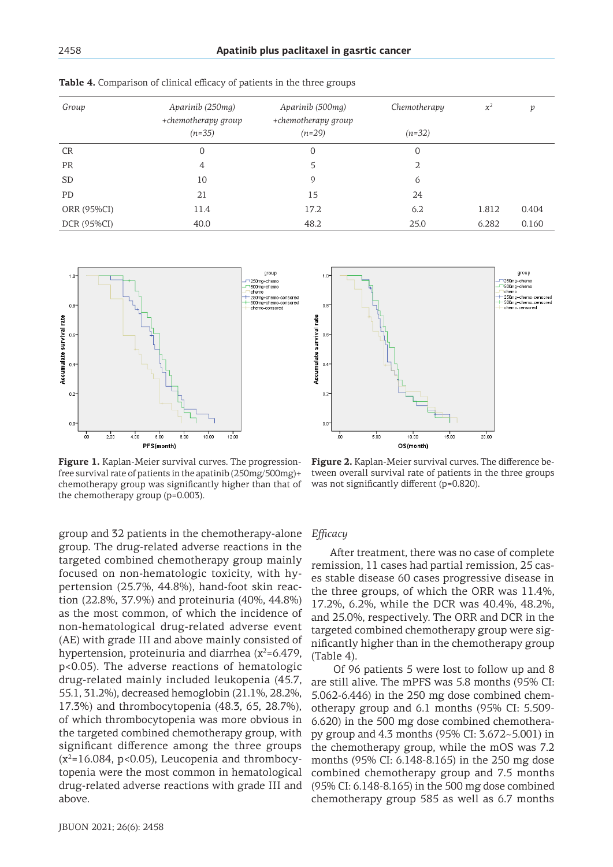| Group       | Aparinib (250mg)<br>+chemotherapy group<br>$(n=35)$ | Aparinib (500mg)<br>+chemotherapy group<br>$(n=29)$ | Chemotherapy<br>$(n=32)$ | $\chi^2$ | p     |
|-------------|-----------------------------------------------------|-----------------------------------------------------|--------------------------|----------|-------|
| <b>CR</b>   | 0                                                   | 0                                                   | 0                        |          |       |
| <b>PR</b>   | 4                                                   | 5                                                   | 2                        |          |       |
| <b>SD</b>   | 10                                                  | 9                                                   | 6                        |          |       |
| PD          | 21                                                  | 15                                                  | 24                       |          |       |
| ORR (95%CI) | 11.4                                                | 17.2                                                | 6.2                      | 1.812    | 0.404 |
| DCR (95%CI) | 40.0                                                | 48.2                                                | 25.0                     | 6.282    | 0.160 |

**Table 4.** Comparison of clinical efficacy of patients in the three groups



**Figure 1.** Kaplan-Meier survival curves. The progressionfree survival rate of patients in the apatinib (250mg/500mg)+ chemotherapy group was significantly higher than that of the chemotherapy group (p=0.003).

group and 32 patients in the chemotherapy-alone group. The drug-related adverse reactions in the targeted combined chemotherapy group mainly focused on non-hematologic toxicity, with hypertension (25.7%, 44.8%), hand-foot skin reaction (22.8%, 37.9%) and proteinuria (40%, 44.8%) as the most common, of which the incidence of non-hematological drug-related adverse event (AE) with grade III and above mainly consisted of hypertension, proteinuria and diarrhea ( $x^2$ =6.479, p<0.05). The adverse reactions of hematologic drug-related mainly included leukopenia (45.7, 55.1, 31.2%), decreased hemoglobin (21.1%, 28.2%, 17.3%) and thrombocytopenia (48.3, 65, 28.7%), of which thrombocytopenia was more obvious in the targeted combined chemotherapy group, with significant difference among the three groups  $(x^2=16.084, p<0.05)$ , Leucopenia and thrombocytopenia were the most common in hematological drug-related adverse reactions with grade III and above.



**Figure 2.** Kaplan-Meier survival curves. The difference between overall survival rate of patients in the three groups was not significantly different (p=0.820).

# *Efficacy*

After treatment, there was no case of complete remission, 11 cases had partial remission, 25 cases stable disease 60 cases progressive disease in the three groups, of which the ORR was 11.4%, 17.2%, 6.2%, while the DCR was 40.4%, 48.2%, and 25.0%, respectively. The ORR and DCR in the targeted combined chemotherapy group were significantly higher than in the chemotherapy group (Table 4).

 Of 96 patients 5 were lost to follow up and 8 are still alive. The mPFS was 5.8 months (95% CI: 5.062-6.446) in the 250 mg dose combined chemotherapy group and 6.1 months (95% CI: 5.509- 6.620) in the 500 mg dose combined chemotherapy group and 4.3 months (95% CI: 3.672~5.001) in the chemotherapy group, while the mOS was 7.2 months (95% CI: 6.148-8.165) in the 250 mg dose combined chemotherapy group and 7.5 months (95% CI: 6.148-8.165) in the 500 mg dose combined chemotherapy group 585 as well as 6.7 months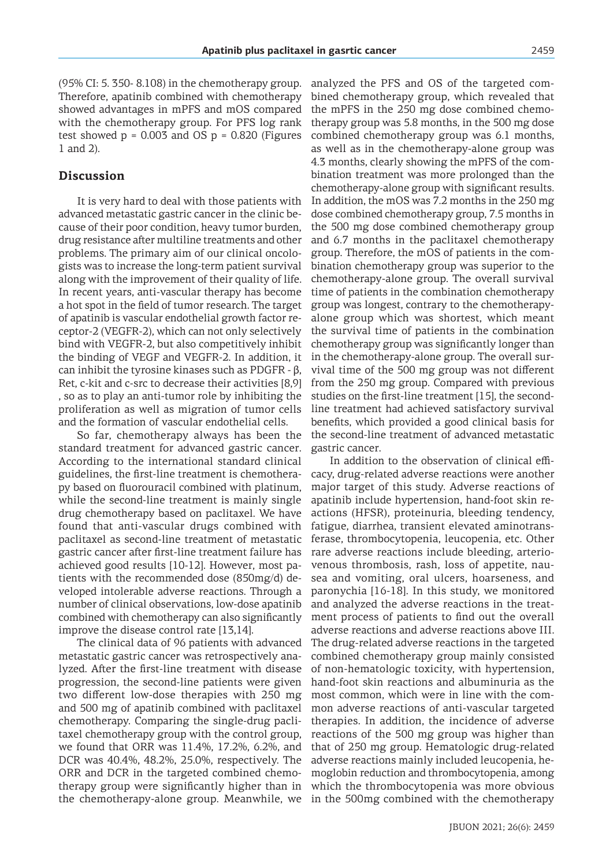(95% CI: 5. 350- 8.108) in the chemotherapy group. Therefore, apatinib combined with chemotherapy showed advantages in mPFS and mOS compared with the chemotherapy group. For PFS log rank test showed  $p = 0.003$  and OS  $p = 0.820$  (Figures 1 and 2).

## **Discussion**

It is very hard to deal with those patients with advanced metastatic gastric cancer in the clinic because of their poor condition, heavy tumor burden, drug resistance after multiline treatments and other problems. The primary aim of our clinical oncologists was to increase the long-term patient survival along with the improvement of their quality of life. In recent years, anti-vascular therapy has become a hot spot in the field of tumor research. The target of apatinib is vascular endothelial growth factor receptor-2 (VEGFR-2), which can not only selectively bind with VEGFR-2, but also competitively inhibit the binding of VEGF and VEGFR-2. In addition, it can inhibit the tyrosine kinases such as PDGFR - β, Ret, c-kit and c-src to decrease their activities [8,9] , so as to play an anti-tumor role by inhibiting the proliferation as well as migration of tumor cells and the formation of vascular endothelial cells.

So far, chemotherapy always has been the standard treatment for advanced gastric cancer. According to the international standard clinical guidelines, the first-line treatment is chemotherapy based on fluorouracil combined with platinum, while the second-line treatment is mainly single drug chemotherapy based on paclitaxel. We have found that anti-vascular drugs combined with paclitaxel as second-line treatment of metastatic gastric cancer after first-line treatment failure has achieved good results [10-12]. However, most patients with the recommended dose (850mg/d) developed intolerable adverse reactions. Through a number of clinical observations, low-dose apatinib combined with chemotherapy can also significantly improve the disease control rate [13,14].

The clinical data of 96 patients with advanced metastatic gastric cancer was retrospectively analyzed. After the first-line treatment with disease progression, the second-line patients were given two different low-dose therapies with 250 mg and 500 mg of apatinib combined with paclitaxel chemotherapy. Comparing the single-drug paclitaxel chemotherapy group with the control group, we found that ORR was 11.4%, 17.2%, 6.2%, and DCR was 40.4%, 48.2%, 25.0%, respectively. The ORR and DCR in the targeted combined chemotherapy group were significantly higher than in

analyzed the PFS and OS of the targeted combined chemotherapy group, which revealed that the mPFS in the 250 mg dose combined chemotherapy group was 5.8 months, in the 500 mg dose combined chemotherapy group was 6.1 months, as well as in the chemotherapy-alone group was 4.3 months, clearly showing the mPFS of the combination treatment was more prolonged than the chemotherapy-alone group with significant results. In addition, the mOS was 7.2 months in the 250 mg dose combined chemotherapy group, 7.5 months in the 500 mg dose combined chemotherapy group and 6.7 months in the paclitaxel chemotherapy group. Therefore, the mOS of patients in the combination chemotherapy group was superior to the chemotherapy-alone group. The overall survival time of patients in the combination chemotherapy group was longest, contrary to the chemotherapyalone group which was shortest, which meant the survival time of patients in the combination chemotherapy group was significantly longer than in the chemotherapy-alone group. The overall survival time of the 500 mg group was not different from the 250 mg group. Compared with previous studies on the first-line treatment [15], the secondline treatment had achieved satisfactory survival benefits, which provided a good clinical basis for the second-line treatment of advanced metastatic gastric cancer.

the chemotherapy-alone group. Meanwhile, we in the 500mg combined with the chemotherapy In addition to the observation of clinical efficacy, drug-related adverse reactions were another major target of this study. Adverse reactions of apatinib include hypertension, hand-foot skin reactions (HFSR), proteinuria, bleeding tendency, fatigue, diarrhea, transient elevated aminotransferase, thrombocytopenia, leucopenia, etc. Other rare adverse reactions include bleeding, arteriovenous thrombosis, rash, loss of appetite, nausea and vomiting, oral ulcers, hoarseness, and paronychia [16-18]. In this study, we monitored and analyzed the adverse reactions in the treatment process of patients to find out the overall adverse reactions and adverse reactions above III. The drug-related adverse reactions in the targeted combined chemotherapy group mainly consisted of non-hematologic toxicity, with hypertension, hand-foot skin reactions and albuminuria as the most common, which were in line with the common adverse reactions of anti-vascular targeted therapies. In addition, the incidence of adverse reactions of the 500 mg group was higher than that of 250 mg group. Hematologic drug-related adverse reactions mainly included leucopenia, hemoglobin reduction and thrombocytopenia, among which the thrombocytopenia was more obvious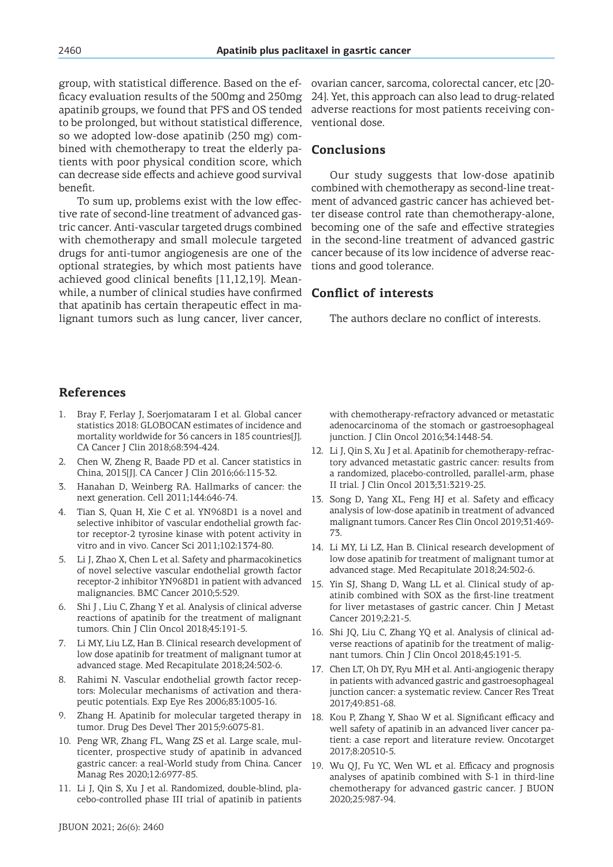group, with statistical difference. Based on the efficacy evaluation results of the 500mg and 250mg apatinib groups, we found that PFS and OS tended to be prolonged, but without statistical difference, so we adopted low-dose apatinib (250 mg) combined with chemotherapy to treat the elderly patients with poor physical condition score, which can decrease side effects and achieve good survival benefit.

To sum up, problems exist with the low effective rate of second-line treatment of advanced gastric cancer. Anti-vascular targeted drugs combined with chemotherapy and small molecule targeted drugs for anti-tumor angiogenesis are one of the optional strategies, by which most patients have achieved good clinical benefits [11,12,19]. Meanwhile, a number of clinical studies have confirmed that apatinib has certain therapeutic effect in malignant tumors such as lung cancer, liver cancer,

ovarian cancer, sarcoma, colorectal cancer, etc [20- 24]. Yet, this approach can also lead to drug-related adverse reactions for most patients receiving conventional dose.

# **Conclusions**

Our study suggests that low-dose apatinib combined with chemotherapy as second-line treatment of advanced gastric cancer has achieved better disease control rate than chemotherapy-alone, becoming one of the safe and effective strategies in the second-line treatment of advanced gastric cancer because of its low incidence of adverse reactions and good tolerance.

## **Conflict of interests**

The authors declare no conflict of interests.

## **References**

- 1. Bray F, Ferlay J, Soerjomataram I et al. Global cancer statistics 2018: GLOBOCAN estimates of incidence and mortality worldwide for 36 cancers in 185 countries[J]. CA Cancer J Clin 2018;68:394-424.
- 2. Chen W, Zheng R, Baade PD et al. Cancer statistics in China, 2015[J]. CA Cancer J Clin 2016;66:115-32.
- 3. Hanahan D, Weinberg RA. Hallmarks of cancer: the next generation. Cell 2011;144:646-74.
- 4. Tian S, Quan H, Xie C et al. YN968D1 is a novel and selective inhibitor of vascular endothelial growth factor receptor-2 tyrosine kinase with potent activity in vitro and in vivo. Cancer Sci 2011;102:1374-80.
- 5. Li J, Zhao X, Chen L et al. Safety and pharmacokinetics of novel selective vascular endothelial growth factor receptor-2 inhibitor YN968D1 in patient with advanced malignancies. BMC Cancer 2010;5:529.
- 6. Shi J , Liu C, Zhang Y et al. Analysis of clinical adverse reactions of apatinib for the treatment of malignant tumors. Chin J Clin Oncol 2018;45:191-5.
- 7. Li MY, Liu LZ, Han B. Clinical research development of low dose apatinib for treatment of malignant tumor at advanced stage. Med Recapitulate 2018;24:502-6.
- 8. Rahimi N. Vascular endothelial growth factor receptors: Molecular mechanisms of activation and therapeutic potentials. Exp Eye Res 2006;83:1005-16.
- 9. Zhang H. Apatinib for molecular targeted therapy in tumor. Drug Des Devel Ther 2015;9:6075-81.
- 10. Peng WR, Zhang FL, Wang ZS et al. Large scale, multicenter, prospective study of apatinib in advanced gastric cancer: a real-World study from China. Cancer Manag Res 2020;12:6977-85.
- 11. Li J, Qin S, Xu J et al. Randomized, double-blind, placebo-controlled phase III trial of apatinib in patients

with chemotherapy-refractory advanced or metastatic adenocarcinoma of the stomach or gastroesophageal junction. J Clin Oncol 2016;34:1448-54.

- 12. Li J, Qin S, Xu J et al. Apatinib for chemotherapy-refractory advanced metastatic gastric cancer: results from a randomized, placebo-controlled, parallel-arm, phase II trial. J Clin Oncol 2013;31:3219-25.
- 13. Song D, Yang XL, Feng HJ et al. Safety and efficacy analysis of low-dose apatinib in treatment of advanced malignant tumors. Cancer Res Clin Oncol 2019;31:469- 73.
- 14. Li MY, Li LZ, Han B. Clinical research development of low dose apatinib for treatment of malignant tumor at advanced stage. Med Recapitulate 2018;24:502-6.
- 15. Yin SJ, Shang D, Wang LL et al. Clinical study of apatinib combined with SOX as the first-line treatment for liver metastases of gastric cancer. Chin J Metast Cancer 2019;2:21-5.
- 16. Shi JQ, Liu C, Zhang YQ et al. Analysis of clinical adverse reactions of apatinib for the treatment of malignant tumors. Chin J Clin Oncol 2018;45:191-5.
- 17. Chen LT, Oh DY, Ryu MH et al. Anti-angiogenic therapy in patients with advanced gastric and gastroesophageal junction cancer: a systematic review. Cancer Res Treat 2017;49:851-68.
- 18. Kou P, Zhang Y, Shao W et al. Significant efficacy and well safety of apatinib in an advanced liver cancer patient: a case report and literature review. Oncotarget 2017;8:20510-5.
- 19. Wu QJ, Fu YC, Wen WL et al. Efficacy and prognosis analyses of apatinib combined with S-1 in third-line chemotherapy for advanced gastric cancer. J BUON 2020;25:987-94.